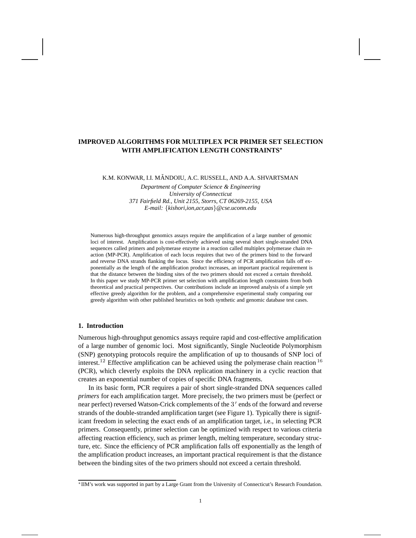# **IMPROVED ALGORITHMS FOR MULTIPLEX PCR PRIMER SET SELECTION WITH AMPLIFICATION LENGTH CONSTRAINTS***∗*

K.M. KONWAR, I.I. MĂNDOIU, A.C. RUSSELL, AND A.A. SHVARTSMAN

*Department of Computer Science & Engineering University of Connecticut 371 Fairfield Rd., Unit 2155, Storrs, CT 06269-2155, USA E-mail: {kishori,ion,acr,aas}@cse.uconn.edu*

Numerous high-throughput genomics assays require the amplification of a large number of genomic loci of interest. Amplification is cost-effectively achieved using several short single-stranded DNA sequences called primers and polymerase enzyme in a reaction called multiplex polymerase chain reaction (MP-PCR). Amplification of each locus requires that two of the primers bind to the forward and reverse DNA strands flanking the locus. Since the efficiency of PCR amplification falls off exponentially as the length of the amplification product increases, an important practical requirement is that the distance between the binding sites of the two primers should not exceed a certain threshold. In this paper we study MP-PCR primer set selection with amplification length constraints from both theoretical and practical perspectives. Our contributions include an improved analysis of a simple yet effective greedy algorithm for the problem, and a comprehensive experimental study comparing our greedy algorithm with other published heuristics on both synthetic and genomic database test cases.

## **1. Introduction**

Numerous high-throughput genomics assays require rapid and cost-effective amplification of a large number of genomic loci. Most significantly, Single Nucleotide Polymorphism (SNP) genotyping protocols require the amplification of up to thousands of SNP loci of interest.<sup>12</sup> Effective amplification can be achieved using the polymerase chain reaction  $^{16}$ (PCR), which cleverly exploits the DNA replication machinery in a cyclic reaction that creates an exponential number of copies of specific DNA fragments.

In its basic form, PCR requires a pair of short single-stranded DNA sequences called *primers* for each amplification target. More precisely, the two primers must be (perfect or near perfect) reversed Watson-Crick complements of the 3' ends of the forward and reverse strands of the double-stranded amplification target (see Figure 1). Typically there is significant freedom in selecting the exact ends of an amplification target, i.e., in selecting PCR primers. Consequently, primer selection can be optimized with respect to various criteria affecting reaction efficiency, such as primer length, melting temperature, secondary structure, etc. Since the efficiency of PCR amplification falls off exponentially as the length of the amplification product increases, an important practical requirement is that the distance between the binding sites of the two primers should not exceed a certain threshold.

<sup>∗</sup>IIM's work was supported in part by a Large Grant from the University of Connecticut's Research Foundation.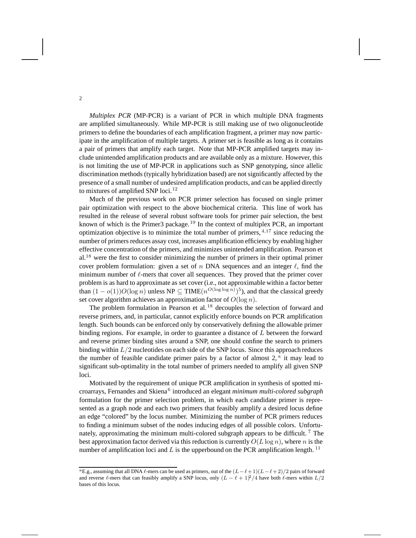*Multiplex PCR* (MP-PCR) is a variant of PCR in which multiple DNA fragments are amplified simultaneously. While MP-PCR is still making use of two oligonucleotide primers to define the boundaries of each amplification fragment, a primer may now participate in the amplification of multiple targets. A primer set is feasible as long as it contains a pair of primers that amplify each target. Note that MP-PCR amplified targets may include unintended amplification products and are available only as a mixture. However, this is not limiting the use of MP-PCR in applications such as SNP genotyping, since allelic discrimination methods (typically hybridization based) are not significantly affected by the presence of a small number of undesired amplification products, and can be applied directly to mixtures of amplified SNP loci.<sup>12</sup>

Much of the previous work on PCR primer selection has focused on single primer pair optimization with respect to the above biochemical criteria. This line of work has resulted in the release of several robust software tools for primer pair selection, the best known of which is the Primer3 package.<sup>19</sup> In the context of multiplex PCR, an important optimization objective is to minimize the total number of primers,  $4,17$  since reducing the number of primers reduces assay cost, increases amplification efficiency by enabling higher effective concentration of the primers, and minimizes unintended amplification. Pearson et  $al<sup>18</sup>$  were the first to consider minimizing the number of primers in their optimal primer cover problem formulation: given a set of n DNA sequences and an integer  $\ell$ , find the minimum number of  $\ell$ -mers that cover all sequences. They proved that the primer cover problem is as hard to approximate as set cover (i.e., not approximable within a factor better than  $(1 - o(1))O(\log n)$  unless NP  $\subseteq$  TIME $(n^{O(\log \log n)})^5$ , and that the classical greedy set cover algorithm achieves an approximation factor of  $O(\log n)$ .

The problem formulation in Pearson et al.<sup>18</sup> decouples the selection of forward and reverse primers, and, in particular, cannot explicitly enforce bounds on PCR amplification length. Such bounds can be enforced only by conservatively defining the allowable primer binding regions. For example, in order to guarantee a distance of L between the forward and reverse primer binding sites around a SNP, one should confine the search to primers binding within  $L/2$  nucleotides on each side of the SNP locus. Since this approach reduces the number of feasible candidate primer pairs by a factor of almost  $2$ ,  $\alpha$  it may lead to significant sub-optimality in the total number of primers needed to amplify all given SNP loci.

Motivated by the requirement of unique PCR amplification in synthesis of spotted microarrays, Fernandes and Skiena<sup>6</sup> introduced an elegant *minimum multi-colored subgraph* formulation for the primer selection problem, in which each candidate primer is represented as a graph node and each two primers that feasibly amplify a desired locus define an edge "colored" by the locus number. Minimizing the number of PCR primers reduces to finding a minimum subset of the nodes inducing edges of all possible colors. Unfortunately, approximating the minimum multi-colored subgraph appears to be difficult.<sup>7</sup> The best approximation factor derived via this reduction is currently  $O(L \log n)$ , where n is the number of amplification loci and L is the upperbound on the PCR amplification length.  $^{11}$ 

<sup>&</sup>lt;sup>a</sup>E.g., assuming that all DNA  $\ell$ -mers can be used as primers, out of the  $(L-\ell+1)(L-\ell+2)/2$  pairs of forward and reverse  $\ell$ -mers that can feasibly amplify a SNP locus, only  $(L - \ell + 1)^2/4$  have both  $\ell$ -mers within  $L/2$ bases of this locus.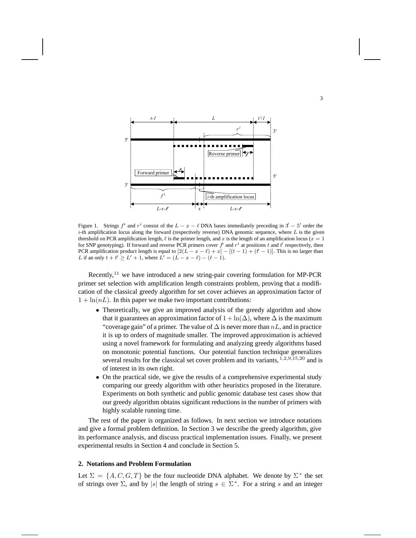

Figure 1. Strings  $f^i$  and  $r^i$  consist of the  $L - x - \ell$  DNA bases immediately preceding in  $3' - 5'$  order the  $i$ -th amplification locus along the forward (respectively reverse) DNA genomic sequence, where  $L$  is the given threshold on PCR amplification length,  $\ell$  is the primer length, and x is the length of an amplification locus ( $x = 1$ ) for SNP genotyping). If forward and reverse PCR primers cover  $f^i$  and  $r^i$  at positions t and t' respectively, then PCR amplification product length is equal to  $[2(L - x - \ell) + x] - [(t - 1) + (t' - 1)]$ . This is no larger than L if an only  $t + t' \geq L' + 1$ , where  $L' = (L - x - \ell) - (\ell - 1)$ .

Recently, $11$  we have introduced a new string-pair covering formulation for MP-PCR primer set selection with amplification length constraints problem, proving that a modification of the classical greedy algorithm for set cover achieves an approximation factor of  $1 + \ln(nL)$ . In this paper we make two important contributions:

- Theoretically, we give an improved analysis of the greedy algorithm and show that it guarantees an approximation factor of  $1 + \ln(\Delta)$ , where  $\Delta$  is the maximum "coverage gain" of a primer. The value of  $\Delta$  is never more than  $nL$ , and in practice it is up to orders of magnitude smaller. The improved approximation is achieved using a novel framework for formulating and analyzing greedy algorithms based on monotonic potential functions. Our potential function technique generalizes several results for the classical set cover problem and its variants, <sup>1,2,9,15,20</sup> and is of interest in its own right.
- On the practical side, we give the results of a comprehensive experimental study comparing our greedy algorithm with other heuristics proposed in the literature. Experiments on both synthetic and public genomic database test cases show that our greedy algorithm obtains significant reductions in the number of primers with highly scalable running time.

The rest of the paper is organized as follows. In next section we introduce notations and give a formal problem definition. In Section 3 we describe the greedy algorithm, give its performance analysis, and discuss practical implementation issues. Finally, we present experimental results in Section 4 and conclude in Section 5.

## **2. Notations and Problem Formulation**

Let  $\Sigma = \{A, C, G, T\}$  be the four nucleotide DNA alphabet. We denote by  $\Sigma^*$  the set of strings over  $\Sigma$ , and by |s| the length of string  $s \in \Sigma^*$ . For a string s and an integer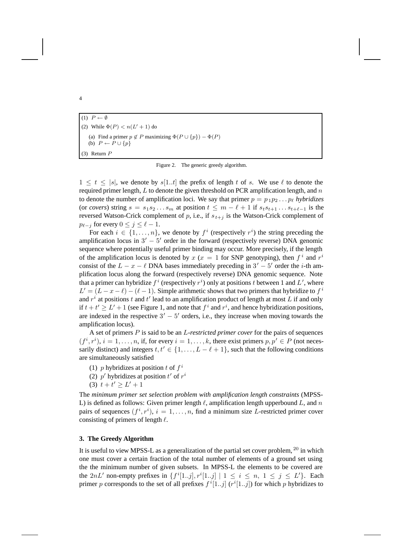4

(1)  $P \leftarrow \emptyset$ (2) While  $\Phi(P) < n(L'+1)$  do (a) Find a primer  $p \notin P$  maximizing  $\Phi(P \cup \{p\}) - \Phi(P)$ (b)  $P \leftarrow P \cup \{p\}$ (3) Return  $P$ 

Figure 2. The generic greedy algorithm.

 $1 \leq t \leq |s|$ , we denote by  $s[1..t]$  the prefix of length t of s. We use  $\ell$  to denote the required primer length,  $L$  to denote the given threshold on PCR amplification length, and  $n$ to denote the number of amplification loci. We say that primer  $p = p_1 p_2 \dots p_\ell$  *hybridizes* (or *covers*) string  $s = s_1 s_2 ... s_m$  at position  $t \leq m - \ell + 1$  if  $s_t s_{t+1} ... s_{t+\ell-1}$  is the reversed Watson-Crick complement of p, i.e., if  $s_{t+j}$  is the Watson-Crick complement of  $p_{\ell-j}$  for every  $0 \le j \le \ell - 1$ .

For each  $i \in \{1, \ldots, n\}$ , we denote by  $f^i$  (respectively  $r^i$ ) the string preceding the substitution locus in  $3' - 5'$  order in the forward (respectively reverse) DNA genomic amplification locus in  $3' - 5'$  order in the forward (respectively reverse) DNA genomic sequence where potentially useful primer binding may occur. More precisely, if the length of the amplification locus is denoted by  $x (x = 1$  for SNP genotyping), then  $f^i$  and  $r^i$ consist of the  $L - x - \ell$  DNA bases immediately preceding in  $3' - 5'$  order the *i*-th amplification locus along the forward (respectively reverse) DNA genomic sequence. Note that a primer can hybridize  $f^i$  (respectively  $r^i$ ) only at positions t between 1 and L', where  $I' = (I - x - \ell) - (\ell - 1)$ . Simple arithmetic shows that two primers that hybridize to  $f^i$  $L' = (L - x - \ell) - (\ell - 1)$ . Simple arithmetic shows that two primers that hybridize to f<sup>i</sup> and  $r^i$  at positions t and t' lead to an amplification product of length at most L if and only if  $t + t' \geq L' + 1$  (see Figure 1, and note that  $f^i$  and  $r^i$ , and hence hybridization positions, are indexed in the respective  $3' - 5'$  orders i.e., they increase when moving towards the are indexed in the respective  $3' - 5'$  orders, i.e., they increase when moving towards the amplification locus).

A set of primers P is said to be an L*-restricted primer cover* for the pairs of sequences  $(f, r), i = 1, ..., n$ , it, for every  $i = 1, ..., k$ , there exist primers  $p, p \in P$  (not necessarily distinct) and integers  $t, t' \in \{1, ..., L - \ell + 1\}$ , such that the following conditions are simultaneously satisfied  $(f^i, r^i)$ ,  $i = 1, \ldots, n$ , if, for every  $i = 1, \ldots, k$ , there exist primers  $p, p' \in P$  (not necesare simultaneously satisfied

- (1) p hybridizes at position t of  $f^i$
- (2) p' hybridizes at position  $t'$  of  $r^i$
- (3)  $t + t' \geq L' + 1$

The *minimum primer set selection problem with amplification length constraints* (MPSS-L) is defined as follows: Given primer length  $\ell$ , amplification length upperbound L, and n pairs of sequences  $(f^i, r^i)$ ,  $i = 1, ..., n$ , find a minimum size L-restricted primer cover<br>consisting of primers of length  $\ell$ pairs of sequences  $(f^*, r^*)$ ,  $i =$ <br>consisting of primers of length  $\ell$ .

## **3. The Greedy Algorithm**

It is useful to view MPSS-L as a generalization of the partial set cover problem,  $^{20}$  in which one must cover a certain fraction of the total number of elements of a ground set using the the minimum number of given subsets. In MPSS-L the elements to be covered are the  $2nL'$  non-empty prefixes in  $\{f^i[1..j], r^i[1..j] \mid 1 \le i \le n, 1 \le j \le L'\}$ . Each<br>primar n corresponds to the set of all prefixes  $f^i[1-i]$  ( $x^i[1-i]$ ) for which n by bridizes to the znt non-empty prefixes in  $\{f^i[1..j], r^i[1..j] \mid 1 \le i \le n, 1 \le j \le L\}$ . Each primer p corresponds to the set of all prefixes  $f^i[1..j]$  ( $r^i[1..j]$ ) for which p hybridizes to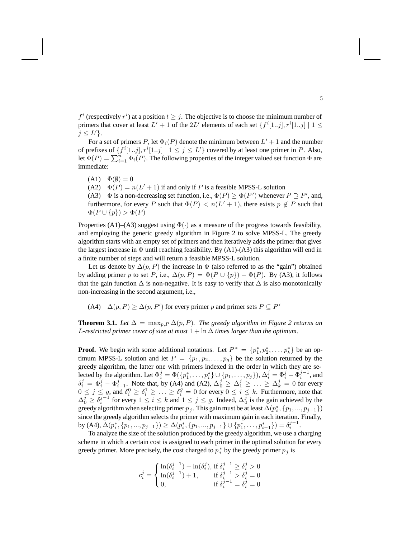$f^i$  (respectively  $r^i$ ) at a position  $t \geq j$ . The objective is to choose the minimum number of primary that cover at least  $I' + 1$  of the 2 $I'$  elements of each set  $f f^{i[1-j]}$   $r^{i[1-j]} + 1 \leq j$ primers that cover at least  $L' + 1$  of the  $2L'$  elements of each set  $\{f^i[1..j], r^i[1..j] \mid 1 \leq i < I'\}$  $j \leq L'$ .<br>For a

For a set of primers P, let  $\Phi_i(P)$  denote the minimum between  $L' + 1$  and the number of prefixes of  $\{f^i[1..j], r^i[1..j] \mid 1 \leq j \leq L'\}$  covered by at least one primer in P. Also,<br>let  $\Phi(P) = \sum^n \Phi(P)$ . The following properties of the integer valued set function  $\Phi$  are Following properties of the integer valued set function  $\Phi$  are<br>let  $\Phi(P) = \sum_{i=1}^{n} \Phi_i(P)$ . The following properties of the integer valued set function  $\Phi$  are<br>immediate. immediate:

 $(A1) \quad \Phi(\emptyset) = 0$ 

(A2)  $\Phi(P) = n(L' + 1)$  if and only if P is a feasible MPSS-L solution

(A3)  $\Phi$  is a non-decreasing set function, i.e.,  $\Phi(P) \ge \Phi(P')$  whenever  $P \supseteq P'$ , and, furthermore, for every P such that  $\Phi(P) \le n(I'+1)$ , there exists  $n \notin P$  such that furthermore, for every P such that  $\Phi(P) < n(L'+1)$ , there exists  $p \notin P$  such that  $\Phi(P \cup \{p\}) > \Phi(P)$ 

Properties (A1)–(A3) suggest using  $\Phi(\cdot)$  as a measure of the progress towards feasibility, and employing the generic greedy algorithm in Figure 2 to solve MPSS-L. The greedy algorithm starts with an empty set of primers and then iteratively adds the primer that gives the largest increase in  $\Phi$  until reaching feasibility. By (A1)-(A3) this algorithm will end in a finite number of steps and will return a feasible MPSS-L solution.

Let us denote by  $\Delta(p, P)$  the increase in  $\Phi$  (also referred to as the "gain") obtained by adding primer p to set P, i.e.,  $\Delta(p, P) = \Phi(P \cup \{p\}) - \Phi(P)$ . By (A3), it follows that the gain function  $\Delta$  is non-negative. It is easy to verify that  $\Delta$  is also monotonically non-increasing in the second argument, i.e.,

(A4)  $\Delta(p, P) \ge \Delta(p, P')$  for every primer p and primer sets  $P \subseteq P'$ 

**Theorem 3.1.** *Let*  $\Delta = \max_{p,P} \Delta(p,P)$ . *The greedy algorithm in Figure 2 returns an* L-restricted primer cover of size at most  $1 + \ln \Delta$  *times larger than the optimum.* 

**Proof.** We begin with some additional notations. Let  $P^* = \{p_1^*, p_2^*, \ldots, p_k^*\}$  be an optimum MPSS-L solution and let  $P = \{p_1, p_2, \ldots, p_k\}$  be the solution returned by the timum MPSS-L solution and let  $P = \{p_1, p_2, \ldots, p_g\}$  be the solution returned by the greedy algorithm, the latter one with primers indexed in the order in which they are selected by the algorithm. Let  $\Phi_i^j = \Phi({p_1^*, \ldots, p_i^*} \cup {p_1, \ldots, p_j})$ ,  $\Delta_i^j = \Phi_i^j - \Phi_i^{j-1}$ , and  $\delta^j = \Phi_j^j - \Phi_j^{j-1}$ .  $\delta_i^j = \Phi_i^j - \Phi_{i-1}^j$ . Note that, by (A4) and (A2),  $\Delta_0^j \ge \Delta_1^j \ge \ldots \ge \Delta_k^j = 0$  for every  $0 \le i \le a$  and  $\delta^0 > \delta^1 > \delta^g = 0$  for every  $0 \le i \le k$ . Furthermore, note that  $0 \le j \le g$ , and  $\delta_i^0 \ge \delta_i^1 \ge \ldots \ge \delta_i^g = 0$  for every  $0 \le i \le k$ . Furthermore, note that  $\Delta_i^j \ge \delta_i^{j-1}$  for every  $1 \le i \le k$  and  $1 \le i \le g$ . Indeed  $\Delta_i^j$  is the gain achieved by the  $\Delta_0^j \geq \delta_i^{j-1}$  for every  $1 \leq i \leq k$  and  $1 \leq j \leq g$ . Indeed,  $\Delta_0^j$  is the gain achieved by the greedy algorithm when selecting primar  $n_i$ . This gain must be at least  $\Delta(n^*)$  for  $n_i = n_i + 1$ . greedy algorithm when selecting primer  $p_j$ . This gain must be at least  $\Delta(p_i^*, \{p_1, ..., p_{j-1}\})$ <br>since the greedy algorithm selects the primer with maximum gain in each iteration. Finally since the greedy algorithm selects the primer with maximum gain in each iteration. Finally, by (A4),  $\Delta(p_i^*, \{p_1, ..., p_{j-1}\}) \ge \Delta(p_i^*, \{p_1, ..., p_{j-1}\} \cup \{p_1^*, ..., p_{i-1}^*\}) = \delta_i^{j-1}$ .<br>To analyze the size of the solution produced by the greedy algorithm, we use a c

To analyze the size of the solution produced by the greedy algorithm, we use a charging scheme in which a certain cost is assigned to each primer in the optimal solution for every greedy primer. More precisely, the cost charged to  $p_i^*$  by the greedy primer  $p_j$  is

$$
c_i^j = \begin{cases} \ln(\delta_i^{j-1}) - \ln(\delta_i^j), \text{ if } \delta_i^{j-1} \ge \delta_i^j > 0\\ \ln(\delta_i^{j-1}) + 1, \quad \text{ if } \delta_i^{j-1} > \delta_i^j = 0\\ 0, \quad \text{ if } \delta_i^{j-1} = \delta_i^j = 0 \end{cases}
$$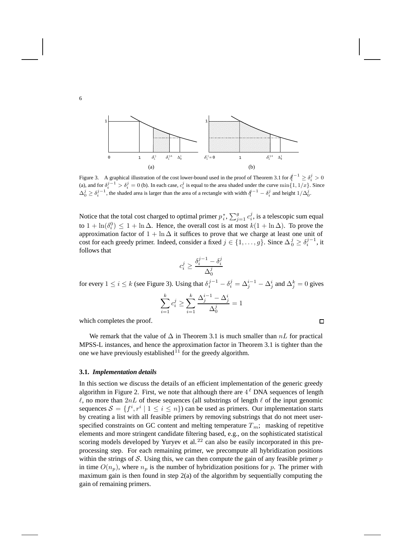

Figure 3. A graphical illustration of the cost lower-bound used in the proof of Theorem 3.1 for  $\zeta_i^{-1} \ge \zeta_i^j > 0$ (a), and for  $\delta_i^{j-1} > \delta_i^j = 0$  (b). In each case,  $c_i^j$  is equal to the area shaded under the curve min $\{1, 1/x\}$ . Since  $\Delta_0^j \ge \delta_i^{j-1}$ , the shaded area is larger than the area of a rectangle with width  $\delta_i^{j-1} - \delta_i^j$  and height  $1/\Delta_0^j$ .

Notice that the total cost charged to optimal primer  $p_i^*, \sum_{j=1}^g c_i^j$ , is a telescopic sum equal to  $1 + \ln(5^0) \le 1 + \ln \Delta$ . Hence, the example set is at most  $h(1 + \ln \Delta)$ . To prove the to  $1 + \ln(\delta_i^0) \le 1 + \ln \Delta$ . Hence, the overall cost is at most  $k(1 + \ln \Delta)$ . To prove the approximation factor of  $1 + \ln \Delta$  it suffices to prove that we charge at least one unit of cost for each greedy primer. Indeed, consider a fixed  $j \in \{1, ..., g\}$ . Since  $\Delta_0^j \ge \delta_i^{j-1}$ , it follows that follows that

$$
c_i^j \geq \frac{\delta_i^{j-1} - \delta_i^j}{\Delta_0^j}
$$

 $\Delta_0^2$ <br>for every  $1 \le i \le k$  (see Figure 3). Using that  $\delta_i^{j-1} - \delta_i^j = \Delta_j^{i-1} - \Delta_j^i$  and  $\Delta_j^k = 0$  gives

$$
\sum_{i=1}^k c_i^j \ge \sum_{i=1}^k \frac{\Delta_j^{i-1} - \Delta_j^i}{\Delta_0^j} =
$$

 $\Box$ 

which completes the proof.

We remark that the value of  $\Delta$  in Theorem 3.1 is much smaller than nL for practical MPSS-L instances, and hence the approximation factor in Theorem 3.1 is tighter than the one we have previously established<sup>11</sup> for the greedy algorithm.

### **3.1.** *Implementation details*

In this section we discuss the details of an efficient implementation of the generic greedy algorithm in Figure 2. First, we note that although there are  $4^\ell$  DNA sequences of length  $\ell$ , no more than  $2nL$  of these sequences (all substrings of length  $\ell$  of the input genomic sequences  $S = \{f^i, r^i \mid 1 \le i \le n\}$  can be used as primers. Our implementation starts<br>by creating a list with all feasible primers by removing substrings that do not meet user. by creating a list with all feasible primers by removing substrings that do not meet userspecified constraints on GC content and melting temperature  $T_m$ ; masking of repetitive elements and more stringent candidate filtering based, e.g., on the sophisticated statistical scoring models developed by Yuryev et al.  $^{22}$  can also be easily incorporated in this preprocessing step. For each remaining primer, we precompute all hybridization positions within the strings of  $S$ . Using this, we can then compute the gain of any feasible primer  $p$ in time  $O(n_p)$ , where  $n_p$  is the number of hybridization positions for p. The primer with maximum gain is then found in step  $2(a)$  of the algorithm by sequentially computing the gain of remaining primers.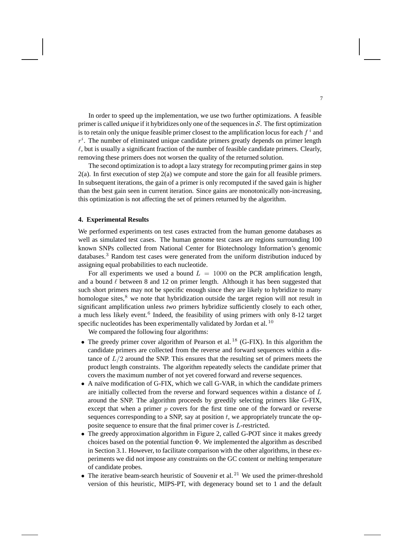In order to speed up the implementation, we use two further optimizations. A feasible primer is called *unique* if it hybridizes only one of the sequences in S. The first optimization is to retain only the unique feasible primer closest to the amplification locus for each  $f^i$  and  $r$ . The number of emminated unique candidate primers greatly depends on primer length  $\ell$ , but is usually a significant fraction of the number of feasible candidate primers. Clearly, removing these primers does not wors  $r<sup>i</sup>$ . The number of eliminated unique candidate primers greatly depends on primer length removing these primers does not worsen the quality of the returned solution.

The second optimization is to adopt a lazy strategy for recomputing primer gains in step 2(a). In first execution of step 2(a) we compute and store the gain for all feasible primers. In subsequent iterations, the gain of a primer is only recomputed if the saved gain is higher than the best gain seen in current iteration. Since gains are monotonically non-increasing, this optimization is not affecting the set of primers returned by the algorithm.

## **4. Experimental Results**

We performed experiments on test cases extracted from the human genome databases as well as simulated test cases. The human genome test cases are regions surrounding 100 known SNPs collected from National Center for Biotechnology Information's genomic databases.<sup>3</sup> Random test cases were generated from the uniform distribution induced by assigning equal probabilities to each nucleotide.

For all experiments we used a bound  $L = 1000$  on the PCR amplification length, and a bound  $\ell$  between 8 and 12 on primer length. Although it has been suggested that such short primers may not be specific enough since they are likely to hybridize to many homologue sites, $8$  we note that hybridization outside the target region will not result in significant amplification unless *two* primers hybridize sufficiently closely to each other, a much less likely event.<sup>6</sup> Indeed, the feasibility of using primers with only 8-12 target specific nucleotides has been experimentally validated by Jordan et al.<sup>10</sup>

We compared the following four algorithms:

- The greedy primer cover algorithm of Pearson et al.  $^{18}$  (G-FIX). In this algorithm the candidate primers are collected from the reverse and forward sequences within a distance of  $L/2$  around the SNP. This ensures that the resulting set of primers meets the product length constraints. The algorithm repeatedly selects the candidate primer that covers the maximum number of not yet covered forward and reverse sequences.
- A naïve modification of G-FIX, which we call G-VAR, in which the candidate primers are initially collected from the reverse and forward sequences within a distance of L around the SNP. The algorithm proceeds by greedily selecting primers like G-FIX, except that when a primer p covers for the first time one of the forward or reverse sequences corresponding to a SNP, say at position  $t$ , we appropriately truncate the opposite sequence to ensure that the final primer cover is L-restricted.
- The greedy approximation algorithm in Figure 2, called G-POT since it makes greedy choices based on the potential function Φ. We implemented the algorithm as described in Section 3.1. However, to facilitate comparison with the other algorithms, in these experiments we did not impose any constraints on the GC content or melting temperature of candidate probes.
- The iterative beam-search heuristic of Souvenir et al.<sup>21</sup> We used the primer-threshold version of this heuristic, MIPS-PT, with degeneracy bound set to 1 and the default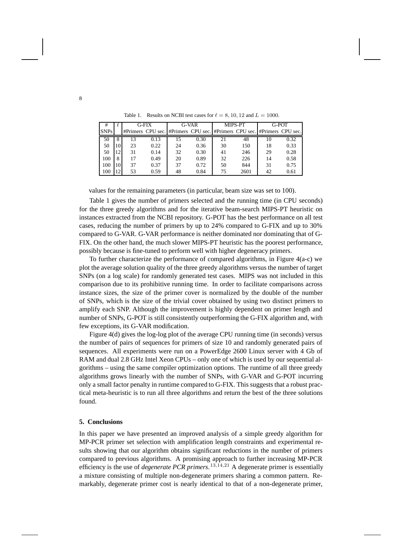| #           |    | $G-FIX$ |      | G-VAR |                                                                         | MIPS-PT |      | G-POT |      |
|-------------|----|---------|------|-------|-------------------------------------------------------------------------|---------|------|-------|------|
| <b>SNPs</b> |    |         |      |       | #Primers CPU sec. #Primers CPU sec. #Primers CPU sec. #Primers CPU sec. |         |      |       |      |
| 50          | 8  | 13      | 0.13 | 15    | 0.30                                                                    | 21      | 48   | 10    | 0.32 |
| 50          | 10 | 23      | 0.22 | 24    | 0.36                                                                    | 30      | 150  | 18    | 0.33 |
| 50          | 12 | 31      | 0.14 | 32    | 0.30                                                                    | 41      | 246  | 29    | 0.28 |
| 100         | 8  | 17      | 0.49 | 20    | 0.89                                                                    | 32      | 226  | 14    | 0.58 |
| 100         | 10 | 37      | 0.37 | 37    | 0.72                                                                    | 50      | 844  | 31    | 0.75 |
| 100         |    | 53      | 0.59 | 48    | 0.84                                                                    | 75      | 2601 | 42    | 0.61 |

Table 1. Results on NCBI test cases for  $\ell = 8, 10, 12$  and  $L = 1000$ .

values for the remaining parameters (in particular, beam size was set to 100).

Table 1 gives the number of primers selected and the running time (in CPU seconds) for the three greedy algorithms and for the iterative beam-search MIPS-PT heuristic on instances extracted from the NCBI repository. G-POT has the best performance on all test cases, reducing the number of primers by up to 24% compared to G-FIX and up to 30% compared to G-VAR. G-VAR performance is neither dominated nor dominating that of G-FIX. On the other hand, the much slower MIPS-PT heuristic has the poorest performance, possibly because is fine-tuned to perform well with higher degeneracy primers.

To further characterize the performance of compared algorithms, in Figure 4(a-c) we plot the average solution quality of the three greedy algorithms versus the number of target SNPs (on a log scale) for randomly generated test cases. MIPS was not included in this comparison due to its prohibitive running time. In order to facilitate comparisons across instance sizes, the size of the primer cover is normalized by the double of the number of SNPs, which is the size of the trivial cover obtained by using two distinct primers to amplify each SNP. Although the improvement is highly dependent on primer length and number of SNPs, G-POT is still consistently outperforming the G-FIX algorithm and, with few exceptions, its G-VAR modification.

Figure 4(d) gives the log-log plot of the average CPU running time (in seconds) versus the number of pairs of sequences for primers of size 10 and randomly generated pairs of sequences. All experiments were run on a PowerEdge 2600 Linux server with 4 Gb of RAM and dual 2.8 GHz Intel Xeon CPUs – only one of which is used by our sequential algorithms – using the same compiler optimization options. The runtime of all three greedy algorithms grows linearly with the number of SNPs, with G-VAR and G-POT incurring only a small factor penalty in runtime compared to G-FIX. This suggests that a robust practical meta-heuristic is to run all three algorithms and return the best of the three solutions found.

## **5. Conclusions**

In this paper we have presented an improved analysis of a simple greedy algorithm for MP-PCR primer set selection with amplification length constraints and experimental results showing that our algorithm obtains significant reductions in the number of primers compared to previous algorithms. A promising approach to further increasing MP-PCR efficiency is the use of *degenerate PCR primers*. <sup>13</sup>,14,<sup>21</sup> A degenerate primer is essentially a mixture consisting of multiple non-degenerate primers sharing a common pattern. Remarkably, degenerate primer cost is nearly identical to that of a non-degenerate primer,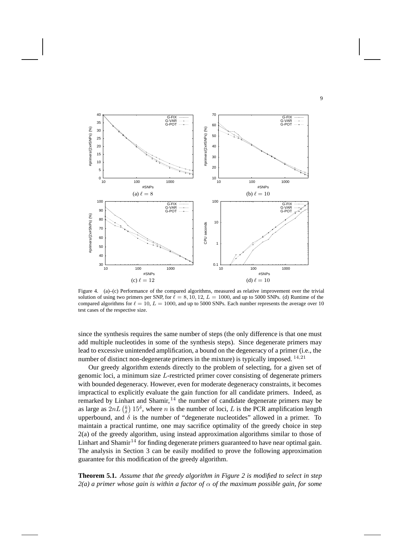

Figure 4. (a)–(c) Performance of the compared algorithms, measured as relative improvement over the trivial solution of using two primers per SNP, for  $\ell = 8, 10, 12, L = 1000$ , and up to 5000 SNPs. (d) Runtime of the compared algorithms for  $\ell = 10, L = 1000$ , and up to 5000 SNPs. Each number represents the average over 10 test cases of the respective size.

since the synthesis requires the same number of steps (the only difference is that one must add multiple nucleotides in some of the synthesis steps). Since degenerate primers may lead to excessive unintended amplification, a bound on the degeneracy of a primer (i.e., the number of distinct non-degenerate primers in the mixture) is typically imposed.  $14,21$ 

Our greedy algorithm extends directly to the problem of selecting, for a given set of genomic loci, a minimum size L-restricted primer cover consisting of degenerate primers with bounded degeneracy. However, even for moderate degeneracy constraints, it becomes impractical to explicitly evaluate the gain function for all candidate primers. Indeed, as remarked by Linhart and Shamir,  $14$  the number of candidate degenerate primers may be as large as  $2nL\binom{k}{\delta}15^{\delta}$ , where *n* is the number of loci, *L* is the PCR amplification length unperbound and  $\delta$  is the number of "degenerate nucleotides" allowed in a primer. To upperbound, and  $\delta$  is the number of "degenerate nucleotides" allowed in a primer. To maintain a practical runtime, one may sacrifice optimality of the greedy choice in step maintain a practical runtime, one may sacrifice optimality of the greedy choice in step 2(a) of the greedy algorithm, using instead approximation algorithms similar to those of Linhart and Shamir<sup>14</sup> for finding degenerate primers guaranteed to have near optimal gain. The analysis in Section 3 can be easily modified to prove the following approximation guarantee for this modification of the greedy algorithm.

**Theorem 5.1.** *Assume that the greedy algorithm in Figure 2 is modified to select in step 2(a) a primer whose gain is within a factor of* α *of the maximum possible gain, for some*